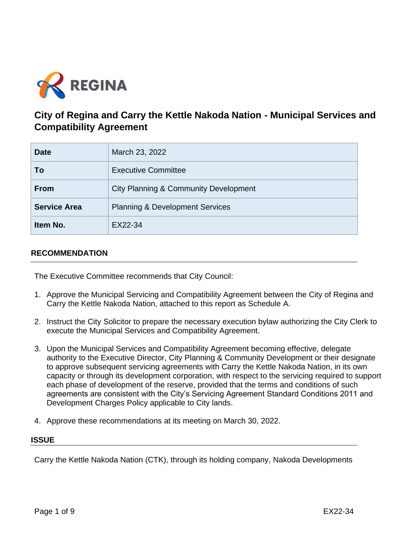

# **City of Regina and Carry the Kettle Nakoda Nation - Municipal Services and Compatibility Agreement**

| <b>Date</b>         | March 23, 2022                                   |
|---------------------|--------------------------------------------------|
| To                  | <b>Executive Committee</b>                       |
| <b>From</b>         | <b>City Planning &amp; Community Development</b> |
| <b>Service Area</b> | <b>Planning &amp; Development Services</b>       |
| Item No.            | EX22-34                                          |

# **RECOMMENDATION**

The Executive Committee recommends that City Council:

- 1. Approve the Municipal Servicing and Compatibility Agreement between the City of Regina and Carry the Kettle Nakoda Nation, attached to this report as Schedule A.
- 2. Instruct the City Solicitor to prepare the necessary execution bylaw authorizing the City Clerk to execute the Municipal Services and Compatibility Agreement.
- 3. Upon the Municipal Services and Compatibility Agreement becoming effective, delegate authority to the Executive Director, City Planning & Community Development or their designate to approve subsequent servicing agreements with Carry the Kettle Nakoda Nation, in its own capacity or through its development corporation, with respect to the servicing required to support each phase of development of the reserve, provided that the terms and conditions of such agreements are consistent with the City's Servicing Agreement Standard Conditions 2011 and Development Charges Policy applicable to City lands.
- 4. Approve these recommendations at its meeting on March 30, 2022.

#### **ISSUE**

Carry the Kettle Nakoda Nation (CTK), through its holding company, Nakoda Developments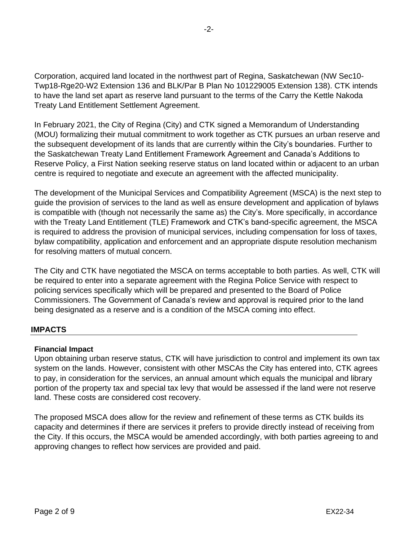Corporation, acquired land located in the northwest part of Regina, Saskatchewan (NW Sec10- Twp18-Rge20-W2 Extension 136 and BLK/Par B Plan No 101229005 Extension 138). CTK intends to have the land set apart as reserve land pursuant to the terms of the Carry the Kettle Nakoda Treaty Land Entitlement Settlement Agreement.

In February 2021, the City of Regina (City) and CTK signed a Memorandum of Understanding (MOU) formalizing their mutual commitment to work together as CTK pursues an urban reserve and the subsequent development of its lands that are currently within the City's boundaries. Further to the Saskatchewan Treaty Land Entitlement Framework Agreement and Canada's Additions to Reserve Policy, a First Nation seeking reserve status on land located within or adjacent to an urban centre is required to negotiate and execute an agreement with the affected municipality.

The development of the Municipal Services and Compatibility Agreement (MSCA) is the next step to guide the provision of services to the land as well as ensure development and application of bylaws is compatible with (though not necessarily the same as) the City's. More specifically, in accordance with the Treaty Land Entitlement (TLE) Framework and CTK's band-specific agreement, the MSCA is required to address the provision of municipal services, including compensation for loss of taxes, bylaw compatibility, application and enforcement and an appropriate dispute resolution mechanism for resolving matters of mutual concern.

The City and CTK have negotiated the MSCA on terms acceptable to both parties. As well, CTK will be required to enter into a separate agreement with the Regina Police Service with respect to policing services specifically which will be prepared and presented to the Board of Police Commissioners. The Government of Canada's review and approval is required prior to the land being designated as a reserve and is a condition of the MSCA coming into effect.

# **IMPACTS**

#### **Financial Impact**

Upon obtaining urban reserve status, CTK will have jurisdiction to control and implement its own tax system on the lands. However, consistent with other MSCAs the City has entered into, CTK agrees to pay, in consideration for the services, an annual amount which equals the municipal and library portion of the property tax and special tax levy that would be assessed if the land were not reserve land. These costs are considered cost recovery.

The proposed MSCA does allow for the review and refinement of these terms as CTK builds its capacity and determines if there are services it prefers to provide directly instead of receiving from the City. If this occurs, the MSCA would be amended accordingly, with both parties agreeing to and approving changes to reflect how services are provided and paid.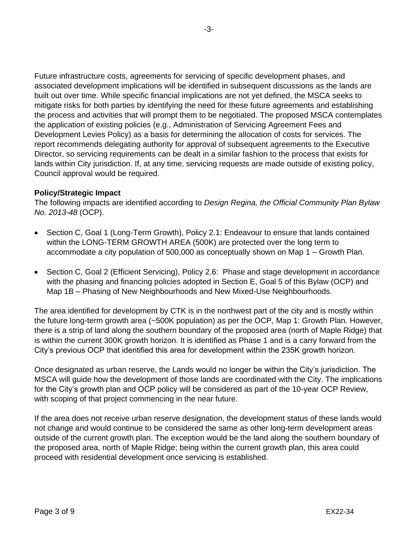Future infrastructure costs, agreements for servicing of specific development phases, and associated development implications will be identified in subsequent discussions as the lands are built out over time. While specific financial implications are not yet defined, the MSCA seeks to mitigate risks for both parties by identifying the need for these future agreements and establishing the process and activities that will prompt them to be negotiated. The proposed MSCA contemplates the application of existing policies (e.g., Administration of Servicing Agreement Fees and Development Levies Policy) as a basis for determining the allocation of costs for services. The report recommends delegating authority for approval of subsequent agreements to the Executive Director, so servicing requirements can be dealt in a similar fashion to the process that exists for lands within City jurisdiction. If, at any time, servicing requests are made outside of existing policy, Council approval would be required.

# **Policy/Strategic Impact**

The following impacts are identified according to *Design Regina, the Official Community Plan Bylaw No. 2013-48* (OCP).

- Section C, Goal 1 (Long-Term Growth), Policy 2.1: Endeavour to ensure that lands contained within the LONG-TERM GROWTH AREA (500K) are protected over the long term to accommodate a city population of 500,000 as conceptually shown on Map 1 – Growth Plan.
- Section C, Goal 2 (Efficient Servicing), Policy 2.6: Phase and stage development in accordance with the phasing and financing policies adopted in Section E, Goal 5 of this Bylaw (OCP) and Map 1B – Phasing of New Neighbourhoods and New Mixed-Use Neighbourhoods.

The area identified for development by CTK is in the northwest part of the city and is mostly within the future long-term growth area (~500K population) as per the OCP*,* Map 1: Growth Plan. However, there is a strip of land along the southern boundary of the proposed area (north of Maple Ridge) that is within the current 300K growth horizon. It is identified as Phase 1 and is a carry forward from the City's previous OCP that identified this area for development within the 235K growth horizon.

Once designated as urban reserve, the Lands would no longer be within the City's jurisdiction. The MSCA will guide how the development of those lands are coordinated with the City. The implications for the City's growth plan and OCP policy will be considered as part of the 10-year OCP Review, with scoping of that project commencing in the near future.

If the area does not receive urban reserve designation, the development status of these lands would not change and would continue to be considered the same as other long-term development areas outside of the current growth plan. The exception would be the land along the southern boundary of the proposed area, north of Maple Ridge; being within the current growth plan, this area could proceed with residential development once servicing is established.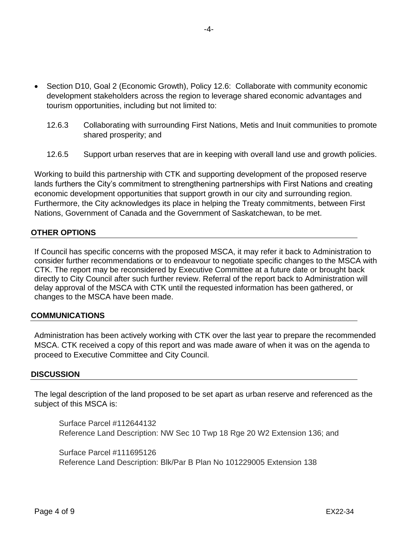- Section D10, Goal 2 (Economic Growth), Policy 12.6: Collaborate with community economic development stakeholders across the region to leverage shared economic advantages and tourism opportunities, including but not limited to:
	- 12.6.3 Collaborating with surrounding First Nations, Metis and Inuit communities to promote shared prosperity; and
	- 12.6.5 Support urban reserves that are in keeping with overall land use and growth policies.

Working to build this partnership with CTK and supporting development of the proposed reserve lands furthers the City's commitment to strengthening partnerships with First Nations and creating economic development opportunities that support growth in our city and surrounding region. Furthermore, the City acknowledges its place in helping the Treaty commitments, between First Nations, Government of Canada and the Government of Saskatchewan, to be met.

# **OTHER OPTIONS**

If Council has specific concerns with the proposed MSCA, it may refer it back to Administration to consider further recommendations or to endeavour to negotiate specific changes to the MSCA with CTK. The report may be reconsidered by Executive Committee at a future date or brought back directly to City Council after such further review. Referral of the report back to Administration will delay approval of the MSCA with CTK until the requested information has been gathered, or changes to the MSCA have been made.

#### **COMMUNICATIONS**

Administration has been actively working with CTK over the last year to prepare the recommended MSCA. CTK received a copy of this report and was made aware of when it was on the agenda to proceed to Executive Committee and City Council.

#### **DISCUSSION**

The legal description of the land proposed to be set apart as urban reserve and referenced as the subject of this MSCA is:

Surface Parcel #112644132 Reference Land Description: NW Sec 10 Twp 18 Rge 20 W2 Extension 136; and

Surface Parcel #111695126 Reference Land Description: Blk/Par B Plan No 101229005 Extension 138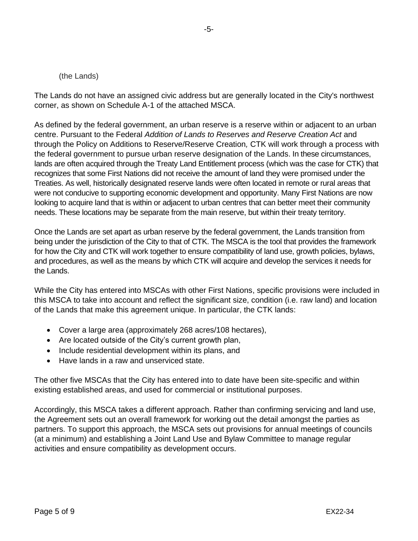#### (the Lands)

The Lands do not have an assigned civic address but are generally located in the City's northwest corner, as shown on Schedule A-1 of the attached MSCA.

As defined by the federal government, an urban reserve is a reserve within or adjacent to an urban centre. Pursuant to the Federal *Addition of Lands to Reserves and Reserve Creation Act* and through the Policy on Additions to Reserve/Reserve Creation*,* CTK will work through a process with the federal government to pursue urban reserve designation of the Lands. In these circumstances, lands are often acquired through the Treaty Land Entitlement process (which was the case for CTK) that recognizes that some First Nations did not receive the amount of land they were promised under the Treaties. As well, historically designated reserve lands were often located in remote or rural areas that were not conducive to supporting economic development and opportunity. Many First Nations are now looking to acquire land that is within or adjacent to urban centres that can better meet their community needs. These locations may be separate from the main reserve, but within their treaty territory.

Once the Lands are set apart as urban reserve by the federal government, the Lands transition from being under the jurisdiction of the City to that of CTK. The MSCA is the tool that provides the framework for how the City and CTK will work together to ensure compatibility of land use, growth policies, bylaws, and procedures, as well as the means by which CTK will acquire and develop the services it needs for the Lands.

While the City has entered into MSCAs with other First Nations, specific provisions were included in this MSCA to take into account and reflect the significant size, condition (i.e. raw land) and location of the Lands that make this agreement unique. In particular, the CTK lands:

- Cover a large area (approximately 268 acres/108 hectares),
- Are located outside of the City's current growth plan,
- Include residential development within its plans, and
- Have lands in a raw and unserviced state.

The other five MSCAs that the City has entered into to date have been site-specific and within existing established areas, and used for commercial or institutional purposes.

Accordingly, this MSCA takes a different approach. Rather than confirming servicing and land use, the Agreement sets out an overall framework for working out the detail amongst the parties as partners. To support this approach, the MSCA sets out provisions for annual meetings of councils (at a minimum) and establishing a Joint Land Use and Bylaw Committee to manage regular activities and ensure compatibility as development occurs.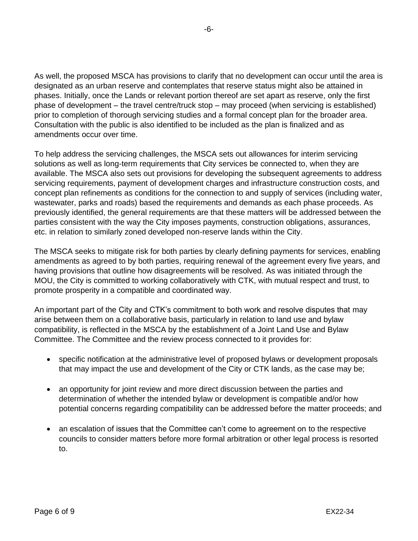As well, the proposed MSCA has provisions to clarify that no development can occur until the area is designated as an urban reserve and contemplates that reserve status might also be attained in phases. Initially, once the Lands or relevant portion thereof are set apart as reserve, only the first phase of development – the travel centre/truck stop – may proceed (when servicing is established) prior to completion of thorough servicing studies and a formal concept plan for the broader area. Consultation with the public is also identified to be included as the plan is finalized and as amendments occur over time.

To help address the servicing challenges, the MSCA sets out allowances for interim servicing solutions as well as long-term requirements that City services be connected to, when they are available. The MSCA also sets out provisions for developing the subsequent agreements to address servicing requirements, payment of development charges and infrastructure construction costs, and concept plan refinements as conditions for the connection to and supply of services (including water, wastewater, parks and roads) based the requirements and demands as each phase proceeds. As previously identified, the general requirements are that these matters will be addressed between the parties consistent with the way the City imposes payments, construction obligations, assurances, etc. in relation to similarly zoned developed non-reserve lands within the City.

The MSCA seeks to mitigate risk for both parties by clearly defining payments for services, enabling amendments as agreed to by both parties, requiring renewal of the agreement every five years, and having provisions that outline how disagreements will be resolved. As was initiated through the MOU, the City is committed to working collaboratively with CTK, with mutual respect and trust, to promote prosperity in a compatible and coordinated way.

An important part of the City and CTK's commitment to both work and resolve disputes that may arise between them on a collaborative basis, particularly in relation to land use and bylaw compatibility, is reflected in the MSCA by the establishment of a Joint Land Use and Bylaw Committee. The Committee and the review process connected to it provides for:

- specific notification at the administrative level of proposed bylaws or development proposals that may impact the use and development of the City or CTK lands, as the case may be;
- an opportunity for joint review and more direct discussion between the parties and determination of whether the intended bylaw or development is compatible and/or how potential concerns regarding compatibility can be addressed before the matter proceeds; and
- an escalation of issues that the Committee can't come to agreement on to the respective councils to consider matters before more formal arbitration or other legal process is resorted to.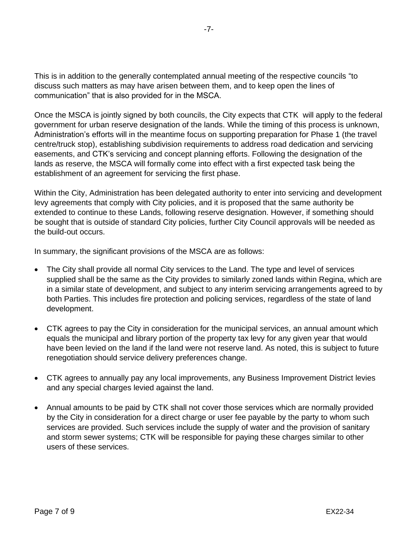This is in addition to the generally contemplated annual meeting of the respective councils "to discuss such matters as may have arisen between them, and to keep open the lines of communication" that is also provided for in the MSCA.

Once the MSCA is jointly signed by both councils, the City expects that CTK will apply to the federal government for urban reserve designation of the lands. While the timing of this process is unknown, Administration's efforts will in the meantime focus on supporting preparation for Phase 1 (the travel centre/truck stop), establishing subdivision requirements to address road dedication and servicing easements, and CTK's servicing and concept planning efforts. Following the designation of the lands as reserve, the MSCA will formally come into effect with a first expected task being the establishment of an agreement for servicing the first phase.

Within the City, Administration has been delegated authority to enter into servicing and development levy agreements that comply with City policies, and it is proposed that the same authority be extended to continue to these Lands, following reserve designation. However, if something should be sought that is outside of standard City policies, further City Council approvals will be needed as the build-out occurs.

In summary, the significant provisions of the MSCA are as follows:

- The City shall provide all normal City services to the Land. The type and level of services supplied shall be the same as the City provides to similarly zoned lands within Regina, which are in a similar state of development, and subject to any interim servicing arrangements agreed to by both Parties. This includes fire protection and policing services, regardless of the state of land development.
- CTK agrees to pay the City in consideration for the municipal services, an annual amount which equals the municipal and library portion of the property tax levy for any given year that would have been levied on the land if the land were not reserve land. As noted, this is subject to future renegotiation should service delivery preferences change.
- CTK agrees to annually pay any local improvements, any Business Improvement District levies and any special charges levied against the land.
- Annual amounts to be paid by CTK shall not cover those services which are normally provided by the City in consideration for a direct charge or user fee payable by the party to whom such services are provided. Such services include the supply of water and the provision of sanitary and storm sewer systems; CTK will be responsible for paying these charges similar to other users of these services.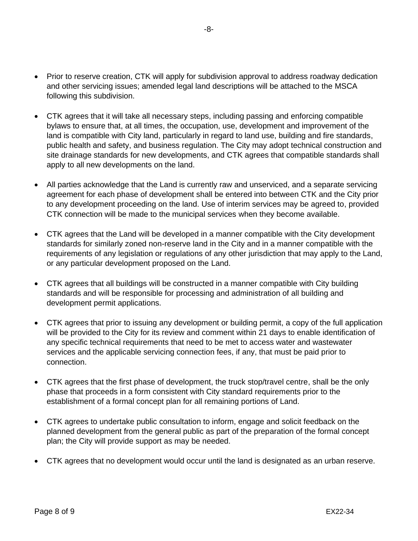- Prior to reserve creation, CTK will apply for subdivision approval to address roadway dedication and other servicing issues; amended legal land descriptions will be attached to the MSCA following this subdivision.
- CTK agrees that it will take all necessary steps, including passing and enforcing compatible bylaws to ensure that, at all times, the occupation, use, development and improvement of the land is compatible with City land, particularly in regard to land use, building and fire standards, public health and safety, and business regulation. The City may adopt technical construction and site drainage standards for new developments, and CTK agrees that compatible standards shall apply to all new developments on the land.
- All parties acknowledge that the Land is currently raw and unserviced, and a separate servicing agreement for each phase of development shall be entered into between CTK and the City prior to any development proceeding on the land. Use of interim services may be agreed to, provided CTK connection will be made to the municipal services when they become available.
- CTK agrees that the Land will be developed in a manner compatible with the City development standards for similarly zoned non-reserve land in the City and in a manner compatible with the requirements of any legislation or regulations of any other jurisdiction that may apply to the Land, or any particular development proposed on the Land.
- CTK agrees that all buildings will be constructed in a manner compatible with City building standards and will be responsible for processing and administration of all building and development permit applications.
- CTK agrees that prior to issuing any development or building permit, a copy of the full application will be provided to the City for its review and comment within 21 days to enable identification of any specific technical requirements that need to be met to access water and wastewater services and the applicable servicing connection fees, if any, that must be paid prior to connection.
- CTK agrees that the first phase of development, the truck stop/travel centre, shall be the only phase that proceeds in a form consistent with City standard requirements prior to the establishment of a formal concept plan for all remaining portions of Land.
- CTK agrees to undertake public consultation to inform, engage and solicit feedback on the planned development from the general public as part of the preparation of the formal concept plan; the City will provide support as may be needed.
- CTK agrees that no development would occur until the land is designated as an urban reserve.